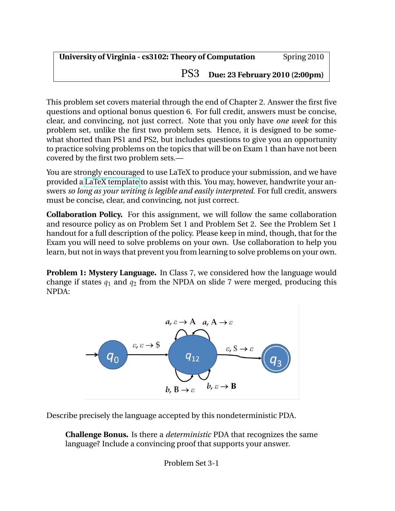PS3 **Due: 23 February 2010 (2:00pm)**

This problem set covers material through the end of Chapter 2. Answer the first five questions and optional bonus question 6. For full credit, answers must be concise, clear, and convincing, not just correct. Note that you only have *one week* for this problem set, unlike the first two problem sets. Hence, it is designed to be somewhat shorted than PS1 and PS2, but includes questions to give you an opportunity to practice solving problems on the topics that will be on Exam 1 than have not been covered by the first two problem sets.—

You are strongly encouraged to use LaTeX to produce your submission, and we have provided a [LaTeX template](http://www.cs.virginia.edu/cs3102/ps/ps3/ps3-template.tex) to assist with this. You may, however, handwrite your answers *so long as your writing is legible and easily interpreted*. For full credit, answers must be concise, clear, and convincing, not just correct.

**Collaboration Policy.** For this assignment, we will follow the same collaboration and resource policy as on Problem Set 1 and Problem Set 2. See the Problem Set 1 handout for a full description of the policy. Please keep in mind, though, that for the Exam you will need to solve problems on your own. Use collaboration to help you learn, but not in ways that prevent you from learning to solve problems on your own.

**Problem 1: Mystery Language.** In Class 7, we considered how the language would change if states  $q_1$  and  $q_2$  from the NPDA on slide 7 were merged, producing this NPDA:



Describe precisely the language accepted by this nondeterministic PDA.

**Challenge Bonus.** Is there a *deterministic* PDA that recognizes the same language? Include a convincing proof that supports your answer.

Problem Set 3-1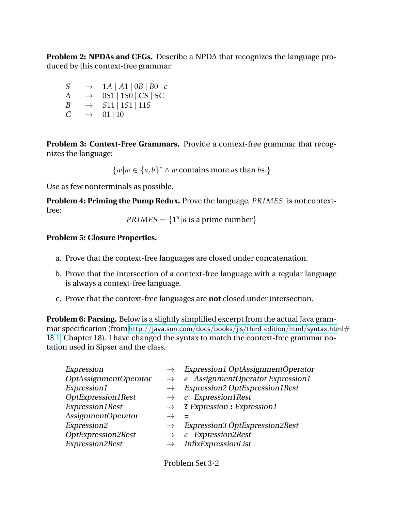**Problem 2: NPDAs and CFGs.** Describe a NPDA that recognizes the language produced by this context-free grammar:

 $S \rightarrow 1A | A1 | 0B | B0 | \epsilon$  $A \rightarrow 0.51 \mid 150 \mid CS \mid SC$  $B \rightarrow$  *S*11 | 1*S*1 | 11*S*  $C \rightarrow 01 | 10$ 

**Problem 3: Context-Free Grammars.** Provide a context-free grammar that recognizes the language:

 $\{w|w \in \{a,b\}^* \land w \text{ contains more as than } bs.\}$ 

Use as few nonterminals as possible.

**Problem 4: Priming the Pump Redux.** Prove the language, *PRIMES*, is not contextfree:

 $PRIMES = \{1^n | n \text{ is a prime number}\}$ 

## **Problem 5: Closure Properties.**

- a. Prove that the context-free languages are closed under concatenation.
- b. Prove that the intersection of a context-free language with a regular language is always a context-free language.
- c. Prove that the context-free languages are **not** closed under intersection.

**Problem 6: Parsing.** Below is a slightly simplified excerpt from the actual Java grammar specification (from [http://java.sun.com/docs/books/jls/third](http://java.sun.com/docs/books/jls/third_edition/html/syntax.html#18.1)\_edition/html/syntax.html $#$ [18.1](http://java.sun.com/docs/books/jls/third_edition/html/syntax.html#18.1), Chapter 18). I have changed the syntax to match the context-free grammar notation used in Sipser and the class.

| Expression<br>OptAssignmentOperator<br>Expression1<br>OptExpression1Rest | $\rightarrow$ | <b>Expression1 OptAssignmentOperator</b><br>$\epsilon$   AssignmentOperator Expression1<br>Expression2 OptExpression1Rest<br>$\epsilon$   Expression1Rest |
|--------------------------------------------------------------------------|---------------|-----------------------------------------------------------------------------------------------------------------------------------------------------------|
| Expression1Rest<br><b>AssignmentOperator</b><br>Expression2              | $\rightarrow$ | $\rightarrow$ ? Expression : Expression 1<br>Expression3 OptExpression2Rest                                                                               |
| OptExpression2Rest<br>Expression2Rest                                    |               | $\epsilon$   Expression2Rest<br>InfixExpressionList                                                                                                       |

Problem Set 3-2